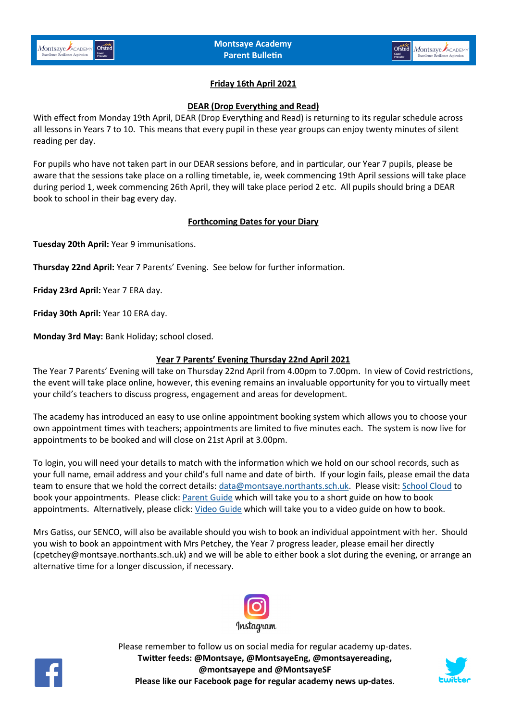

# **Friday 16th April 2021**

### **DEAR (Drop Everything and Read)**

With effect from Monday 19th April, DEAR (Drop Everything and Read) is returning to its regular schedule across all lessons in Years 7 to 10. This means that every pupil in these year groups can enjoy twenty minutes of silent reading per day.

For pupils who have not taken part in our DEAR sessions before, and in particular, our Year 7 pupils, please be aware that the sessions take place on a rolling timetable, ie, week commencing 19th April sessions will take place during period 1, week commencing 26th April, they will take place period 2 etc. All pupils should bring a DEAR book to school in their bag every day.

## **Forthcoming Dates for your Diary**

**Tuesday 20th April:** Year 9 immunisations.

**Thursday 22nd April:** Year 7 Parents' Evening. See below for further information.

**Friday 23rd April:** Year 7 ERA day.

**Friday 30th April:** Year 10 ERA day.

**Monday 3rd May:** Bank Holiday; school closed[.](mailto:data@montsaye.northants.sch.uk)

## **Year 7 Parents' Evening Thursday 22nd April 2021**

The Year 7 Parents' Evening will take on Thursday 22nd April from 4.00pm to 7.00pm. In view of Covid restrictions, the event will take place online, however, this evening remains an invaluable opportunity for you to virtually meet your child's teachers to discuss progress, engagement and areas for development.

The academy has introduced an easy to use online appointment booking system which allows you to choose your own appointment times with teachers; appointments are limited to five minutes each. The system is now live for appointments to be booked and will close on 21st April at 3.00pm.

To login, you will need your details to match with the information which we hold on our school records, such as your full name, email address and your child's full name and date of birth. If your login fails, please email the data team to ensure that we hold the correct details: [data@montsaye.northants.sch.uk.](mailto:data@montsaye.northants.sch.uk) Please visit: [School Cloud](https://montsaye.schoolcloud.co.uk/) to book your appointments. Please click: [Parent Guide](https://www.montsaye.northants.sch.uk/assets/Documents/Newsletters/Parent-Guide-Booking-School-Cloud-Appointments.pdf) which will take you to a short guide on how to book appointments. Alternatively, please click: [Video Guide](https://support.parentseveningsystem.co.uk/article/801-video-parents-how-to-attend-appointments-over-video-call) which will take you to a video guide on how to book.

Mrs Gatiss, our SENCO, will also be available should you wish to book an individual appointment with her. Should you wish to book an appointment with Mrs Petchey, the Year 7 progress leader, please email her directly (cpetchey@montsaye.northants.sch.uk) and we will be able to either book a slot during the evening, or arrange an alternative time for a longer discussion, if necessary.





Please remember to follow us on social media for regular academy up-dates. **Twitter feeds: @Montsaye, @MontsayeEng, @montsayereading, @montsayepe and @MontsayeSF Please like our Facebook page for regular academy news up-dates**.